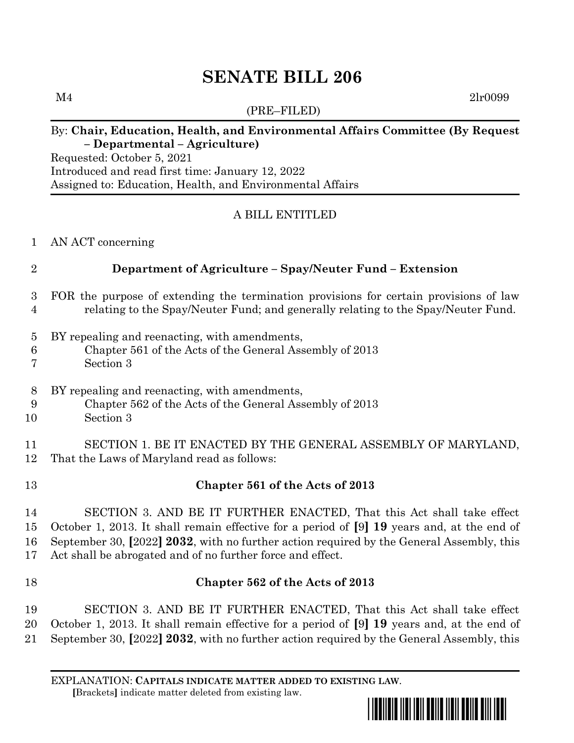# **SENATE BILL 206**

(PRE–FILED)

### By: **Chair, Education, Health, and Environmental Affairs Committee (By Request – Departmental – Agriculture)**

Requested: October 5, 2021 Introduced and read first time: January 12, 2022 Assigned to: Education, Health, and Environmental Affairs

# A BILL ENTITLED

AN ACT concerning

# **Department of Agriculture – Spay/Neuter Fund – Extension**

- FOR the purpose of extending the termination provisions for certain provisions of law relating to the Spay/Neuter Fund; and generally relating to the Spay/Neuter Fund.
- BY repealing and reenacting, with amendments,
- Chapter 561 of the Acts of the General Assembly of 2013
- Section 3
- BY repealing and reenacting, with amendments,
- Chapter 562 of the Acts of the General Assembly of 2013
- Section 3

# SECTION 1. BE IT ENACTED BY THE GENERAL ASSEMBLY OF MARYLAND, That the Laws of Maryland read as follows:

- **Chapter 561 of the Acts of 2013**
- SECTION 3. AND BE IT FURTHER ENACTED, That this Act shall take effect October 1, 2013. It shall remain effective for a period of **[**9**] 19** years and, at the end of September 30, **[**2022**] 2032**, with no further action required by the General Assembly, this Act shall be abrogated and of no further force and effect.
- 

# **Chapter 562 of the Acts of 2013**

 SECTION 3. AND BE IT FURTHER ENACTED, That this Act shall take effect October 1, 2013. It shall remain effective for a period of **[**9**] 19** years and, at the end of September 30, **[**2022**] 2032**, with no further action required by the General Assembly, this

EXPLANATION: **CAPITALS INDICATE MATTER ADDED TO EXISTING LAW**.  **[**Brackets**]** indicate matter deleted from existing law.



 $M4$  2lr0099